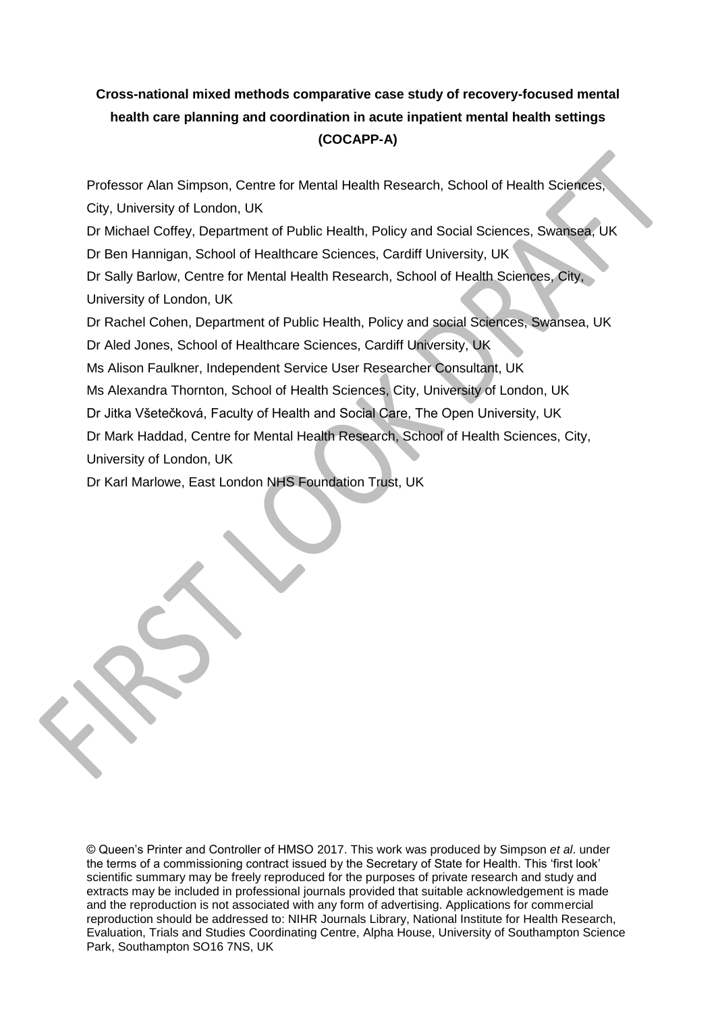# **Cross-national mixed methods comparative case study of recovery-focused mental health care planning and coordination in acute inpatient mental health settings (COCAPP-A)**

Professor Alan Simpson, Centre for Mental Health Research, School of Health Sciences, City, University of London, UK

Dr Michael Coffey, Department of Public Health, Policy and Social Sciences, Swansea, UK

Dr Ben Hannigan, School of Healthcare Sciences, Cardiff University, UK

Dr Sally Barlow, Centre for Mental Health Research, School of Health Sciences, City, University of London, UK

Dr Rachel Cohen, Department of Public Health, Policy and social Sciences, Swansea, UK Dr Aled Jones, School of Healthcare Sciences, Cardiff University, UK

Ms Alison Faulkner, Independent Service User Researcher Consultant, UK

Ms Alexandra Thornton, School of Health Sciences, City, University of London, UK

Dr Jitka Všetečková, Faculty of Health and Social Care, The Open University, UK

Dr Mark Haddad, Centre for Mental Health Research, School of Health Sciences, City,

University of London, UK

Dr Karl Marlowe, East London NHS Foundation Trust, UK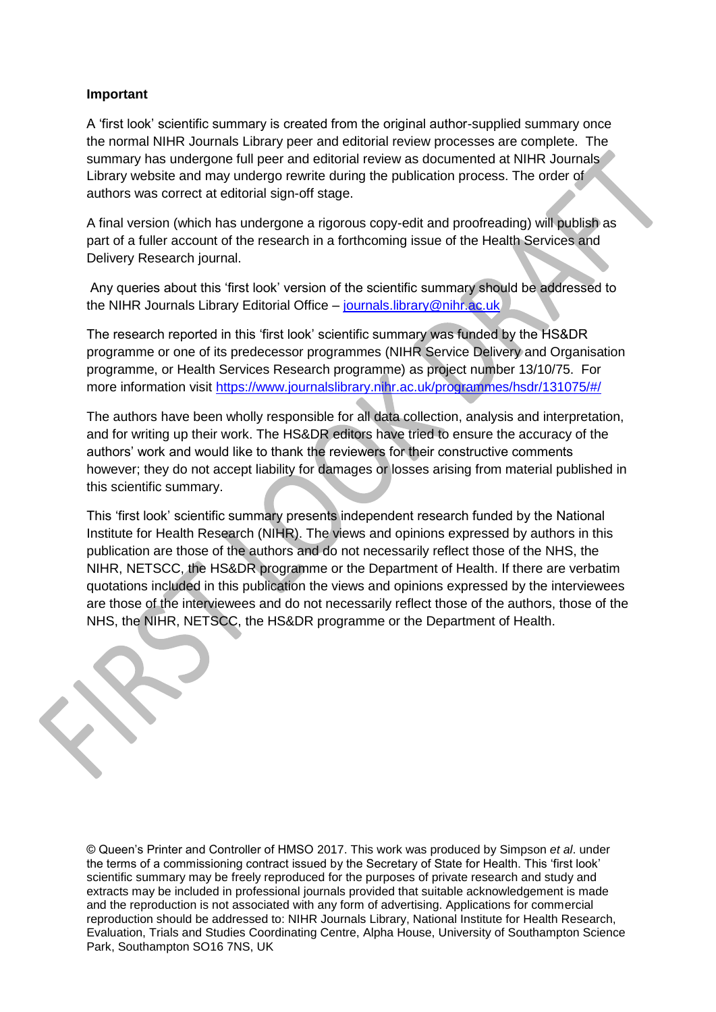### **Important**

A 'first look' scientific summary is created from the original author-supplied summary once the normal NIHR Journals Library peer and editorial review processes are complete. The summary has undergone full peer and editorial review as documented at NIHR Journals Library website and may undergo rewrite during the publication process. The order of authors was correct at editorial sign-off stage.

A final version (which has undergone a rigorous copy-edit and proofreading) will publish as part of a fuller account of the research in a forthcoming issue of the Health Services and Delivery Research journal.

Any queries about this 'first look' version of the scientific summary should be addressed to the NIHR Journals Library Editorial Office – [journals.library@nihr.ac.uk](mailto:journals.library@nihr.ac.uk)

The research reported in this 'first look' scientific summary was funded by the HS&DR programme or one of its predecessor programmes (NIHR Service Delivery and Organisation programme, or Health Services Research programme) as project number 13/10/75. For more information visit<https://www.journalslibrary.nihr.ac.uk/programmes/hsdr/131075/#/>

The authors have been wholly responsible for all data collection, analysis and interpretation, and for writing up their work. The HS&DR editors have tried to ensure the accuracy of the authors' work and would like to thank the reviewers for their constructive comments however; they do not accept liability for damages or losses arising from material published in this scientific summary.

This 'first look' scientific summary presents independent research funded by the National Institute for Health Research (NIHR). The views and opinions expressed by authors in this publication are those of the authors and do not necessarily reflect those of the NHS, the NIHR, NETSCC, the HS&DR programme or the Department of Health. If there are verbatim quotations included in this publication the views and opinions expressed by the interviewees are those of the interviewees and do not necessarily reflect those of the authors, those of the NHS, the NIHR, NETSCC, the HS&DR programme or the Department of Health.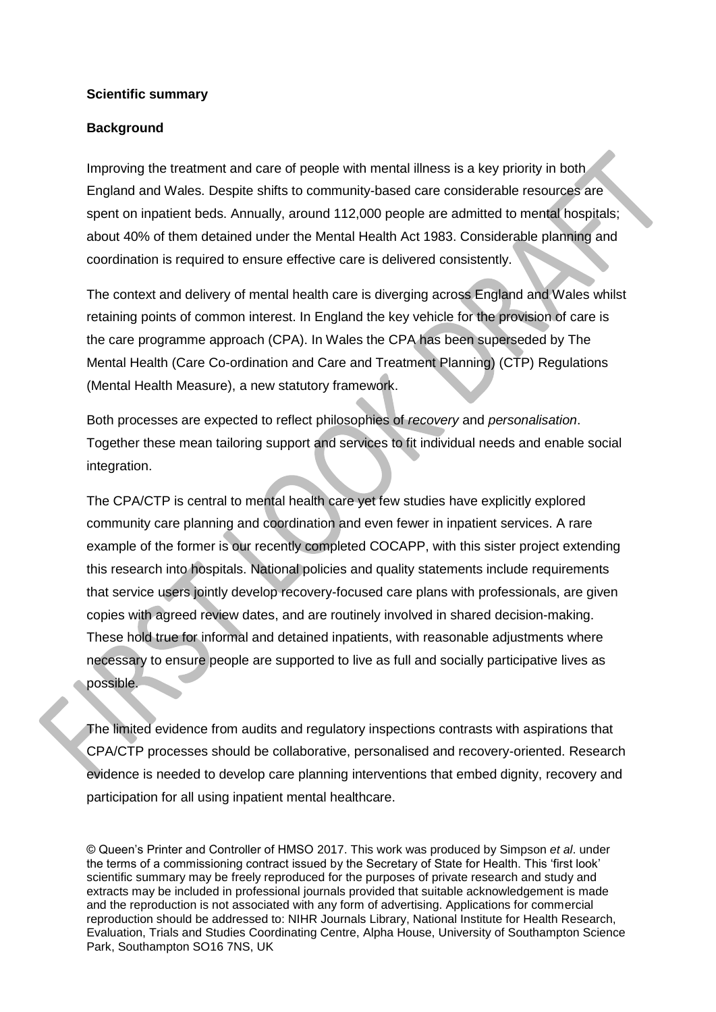#### **Scientific summary**

### **Background**

Improving the treatment and care of people with mental illness is a key priority in both England and Wales. Despite shifts to community-based care considerable resources are spent on inpatient beds. Annually, around 112,000 people are admitted to mental hospitals; about 40% of them detained under the Mental Health Act 1983. Considerable planning and coordination is required to ensure effective care is delivered consistently.

The context and delivery of mental health care is diverging across England and Wales whilst retaining points of common interest. In England the key vehicle for the provision of care is the care programme approach (CPA). In Wales the CPA has been superseded by The Mental Health (Care Co-ordination and Care and Treatment Planning) (CTP) Regulations (Mental Health Measure), a new statutory framework.

Both processes are expected to reflect philosophies of *recovery* and *personalisation*. Together these mean tailoring support and services to fit individual needs and enable social integration.

The CPA/CTP is central to mental health care yet few studies have explicitly explored community care planning and coordination and even fewer in inpatient services. A rare example of the former is our recently completed COCAPP, with this sister project extending this research into hospitals. National policies and quality statements include requirements that service users jointly develop recovery-focused care plans with professionals, are given copies with agreed review dates, and are routinely involved in shared decision-making. These hold true for informal and detained inpatients, with reasonable adjustments where necessary to ensure people are supported to live as full and socially participative lives as possible.

The limited evidence from audits and regulatory inspections contrasts with aspirations that CPA/CTP processes should be collaborative, personalised and recovery-oriented. Research evidence is needed to develop care planning interventions that embed dignity, recovery and participation for all using inpatient mental healthcare.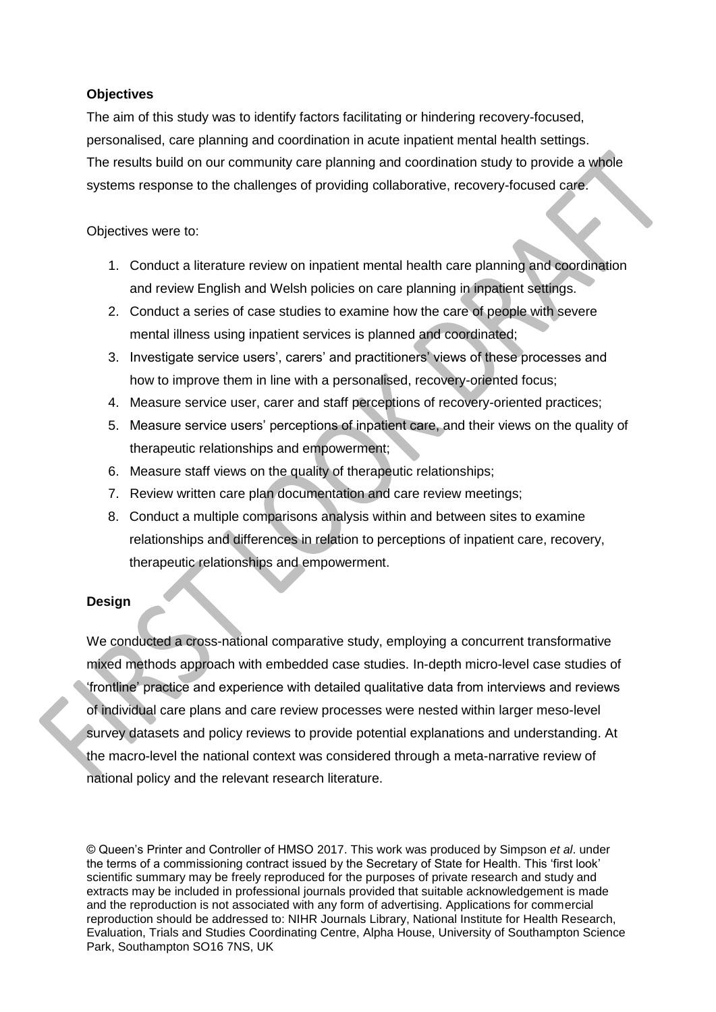## **Objectives**

The aim of this study was to identify factors facilitating or hindering recovery-focused, personalised, care planning and coordination in acute inpatient mental health settings. The results build on our community care planning and coordination study to provide a whole systems response to the challenges of providing collaborative, recovery-focused care.

Objectives were to:

- 1. Conduct a literature review on inpatient mental health care planning and coordination and review English and Welsh policies on care planning in inpatient settings.
- 2. Conduct a series of case studies to examine how the care of people with severe mental illness using inpatient services is planned and coordinated;
- 3. Investigate service users', carers' and practitioners' views of these processes and how to improve them in line with a personalised, recovery-oriented focus;
- 4. Measure service user, carer and staff perceptions of recovery-oriented practices;
- 5. Measure service users' perceptions of inpatient care, and their views on the quality of therapeutic relationships and empowerment;
- 6. Measure staff views on the quality of therapeutic relationships;
- 7. Review written care plan documentation and care review meetings;
- 8. Conduct a multiple comparisons analysis within and between sites to examine relationships and differences in relation to perceptions of inpatient care, recovery, therapeutic relationships and empowerment.

# **Design**

We conducted a cross-national comparative study, employing a concurrent transformative mixed methods approach with embedded case studies. In-depth micro-level case studies of 'frontline' practice and experience with detailed qualitative data from interviews and reviews of individual care plans and care review processes were nested within larger meso-level survey datasets and policy reviews to provide potential explanations and understanding. At the macro-level the national context was considered through a meta-narrative review of national policy and the relevant research literature.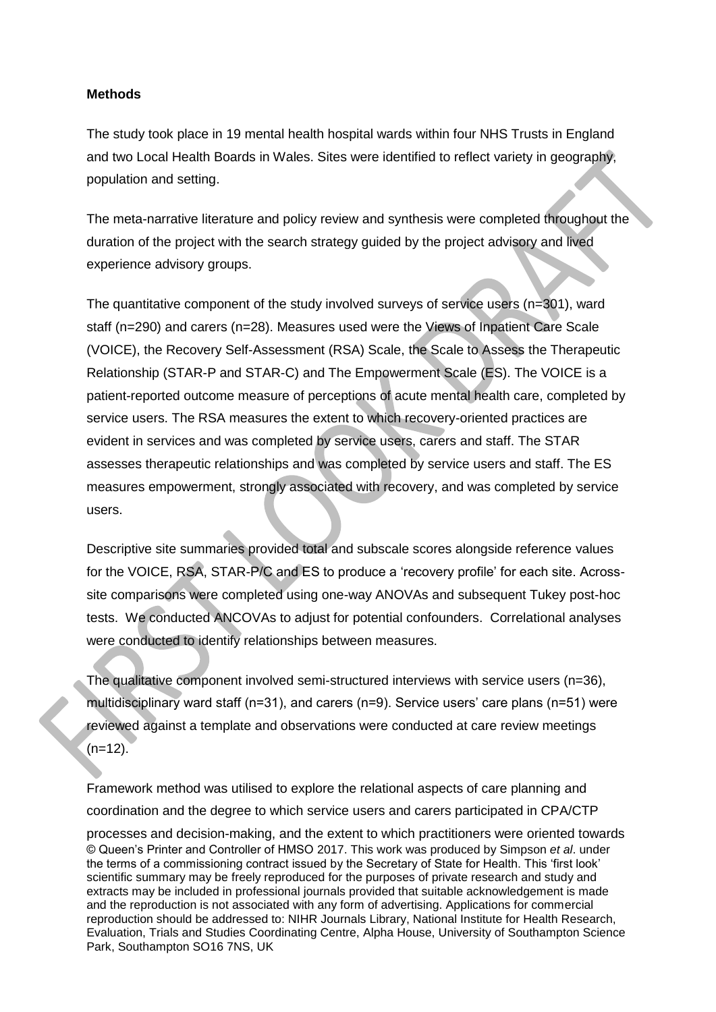### **Methods**

The study took place in 19 mental health hospital wards within four NHS Trusts in England and two Local Health Boards in Wales. Sites were identified to reflect variety in geography, population and setting.

The meta-narrative literature and policy review and synthesis were completed throughout the duration of the project with the search strategy guided by the project advisory and lived experience advisory groups.

The quantitative component of the study involved surveys of service users (n=301), ward staff (n=290) and carers (n=28). Measures used were the Views of Inpatient Care Scale (VOICE), the Recovery Self-Assessment (RSA) Scale, the Scale to Assess the Therapeutic Relationship (STAR-P and STAR-C) and The Empowerment Scale (ES). The VOICE is a patient-reported outcome measure of perceptions of acute mental health care, completed by service users. The RSA measures the extent to which recovery-oriented practices are evident in services and was completed by service users, carers and staff. The STAR assesses therapeutic relationships and was completed by service users and staff. The ES measures empowerment, strongly associated with recovery, and was completed by service users.

Descriptive site summaries provided total and subscale scores alongside reference values for the VOICE, RSA, STAR-P/C and ES to produce a 'recovery profile' for each site. Acrosssite comparisons were completed using one-way ANOVAs and subsequent Tukey post-hoc tests. We conducted ANCOVAs to adjust for potential confounders. Correlational analyses were conducted to identify relationships between measures.

The qualitative component involved semi-structured interviews with service users (n=36), multidisciplinary ward staff (n=31), and carers (n=9). Service users' care plans (n=51) were reviewed against a template and observations were conducted at care review meetings  $(n=12)$ .

© Queen's Printer and Controller of HMSO 2017. This work was produced by Simpson *et al*. under the terms of a commissioning contract issued by the Secretary of State for Health. This 'first look' scientific summary may be freely reproduced for the purposes of private research and study and extracts may be included in professional journals provided that suitable acknowledgement is made and the reproduction is not associated with any form of advertising. Applications for commercial reproduction should be addressed to: NIHR Journals Library, National Institute for Health Research, Evaluation, Trials and Studies Coordinating Centre, Alpha House, University of Southampton Science Park, Southampton SO16 7NS, UK Framework method was utilised to explore the relational aspects of care planning and coordination and the degree to which service users and carers participated in CPA/CTP processes and decision-making, and the extent to which practitioners were oriented towards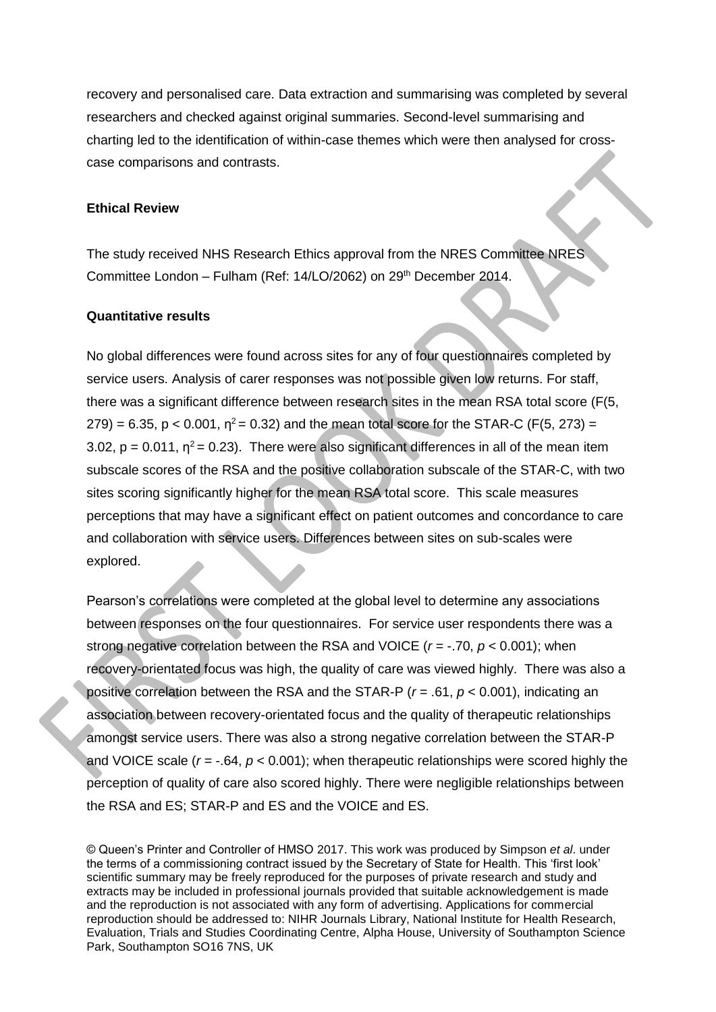recovery and personalised care. Data extraction and summarising was completed by several researchers and checked against original summaries. Second-level summarising and charting led to the identification of within-case themes which were then analysed for crosscase comparisons and contrasts.

#### **Ethical Review**

The study received NHS Research Ethics approval from the NRES Committee NRES Committee London – Fulham (Ref: 14/LO/2062) on 29<sup>th</sup> December 2014.

#### **Quantitative results**

No global differences were found across sites for any of four questionnaires completed by service users. Analysis of carer responses was not possible given low returns. For staff, there was a significant difference between research sites in the mean RSA total score (F(5, 279) = 6.35, p < 0.001,  $\eta^2$  = 0.32) and the mean total score for the STAR-C (F(5, 273) = 3.02,  $p = 0.011$ ,  $\eta^2 = 0.23$ ). There were also significant differences in all of the mean item subscale scores of the RSA and the positive collaboration subscale of the STAR-C, with two sites scoring significantly higher for the mean RSA total score. This scale measures perceptions that may have a significant effect on patient outcomes and concordance to care and collaboration with service users. Differences between sites on sub-scales were explored.

Pearson's correlations were completed at the global level to determine any associations between responses on the four questionnaires. For service user respondents there was a strong negative correlation between the RSA and VOICE (*r* = -.70, *p* < 0.001); when recovery-orientated focus was high, the quality of care was viewed highly. There was also a positive correlation between the RSA and the STAR-P (*r* = .61, *p* < 0.001), indicating an association between recovery-orientated focus and the quality of therapeutic relationships amongst service users. There was also a strong negative correlation between the STAR-P and VOICE scale  $(r = -0.64, p < 0.001)$ ; when therapeutic relationships were scored highly the perception of quality of care also scored highly. There were negligible relationships between the RSA and ES; STAR-P and ES and the VOICE and ES.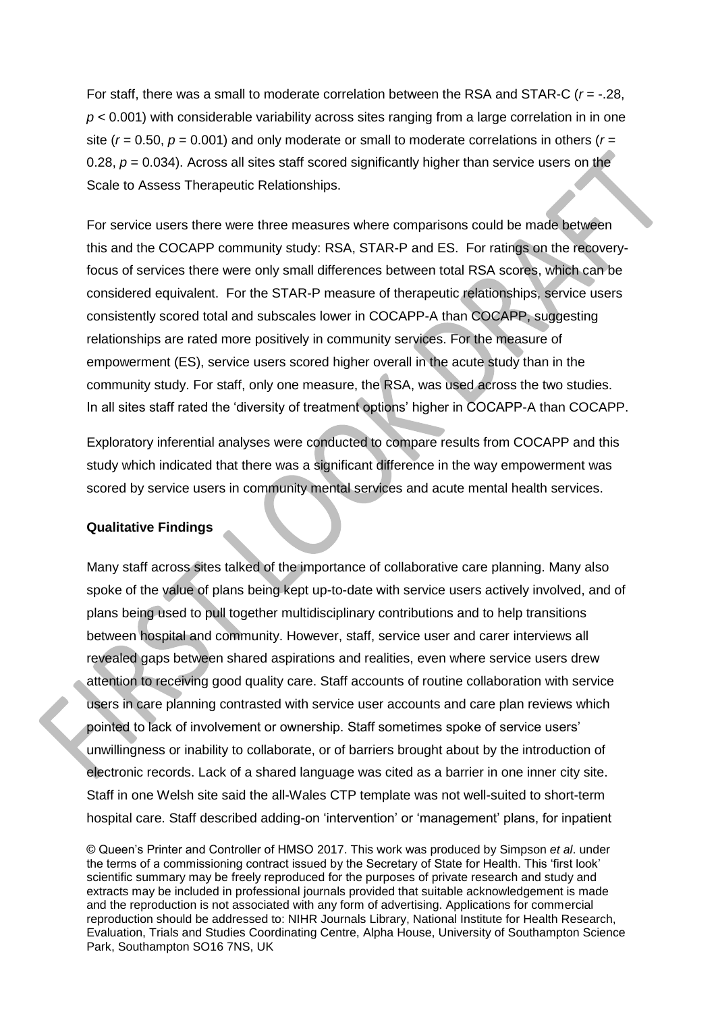For staff, there was a small to moderate correlation between the RSA and STAR-C (*r* = -.28, *p* < 0.001) with considerable variability across sites ranging from a large correlation in in one site ( $r = 0.50$ ,  $p = 0.001$ ) and only moderate or small to moderate correlations in others ( $r =$ 0.28,  $p = 0.034$ ). Across all sites staff scored significantly higher than service users on the Scale to Assess Therapeutic Relationships.

For service users there were three measures where comparisons could be made between this and the COCAPP community study: RSA, STAR-P and ES. For ratings on the recoveryfocus of services there were only small differences between total RSA scores, which can be considered equivalent. For the STAR-P measure of therapeutic relationships, service users consistently scored total and subscales lower in COCAPP-A than COCAPP, suggesting relationships are rated more positively in community services. For the measure of empowerment (ES), service users scored higher overall in the acute study than in the community study. For staff, only one measure, the RSA, was used across the two studies. In all sites staff rated the 'diversity of treatment options' higher in COCAPP-A than COCAPP.

Exploratory inferential analyses were conducted to compare results from COCAPP and this study which indicated that there was a significant difference in the way empowerment was scored by service users in community mental services and acute mental health services.

#### **Qualitative Findings**

Many staff across sites talked of the importance of collaborative care planning. Many also spoke of the value of plans being kept up-to-date with service users actively involved, and of plans being used to pull together multidisciplinary contributions and to help transitions between hospital and community. However, staff, service user and carer interviews all revealed gaps between shared aspirations and realities, even where service users drew attention to receiving good quality care. Staff accounts of routine collaboration with service users in care planning contrasted with service user accounts and care plan reviews which pointed to lack of involvement or ownership. Staff sometimes spoke of service users' unwillingness or inability to collaborate, or of barriers brought about by the introduction of electronic records. Lack of a shared language was cited as a barrier in one inner city site. Staff in one Welsh site said the all-Wales CTP template was not well-suited to short-term hospital care. Staff described adding-on 'intervention' or 'management' plans, for inpatient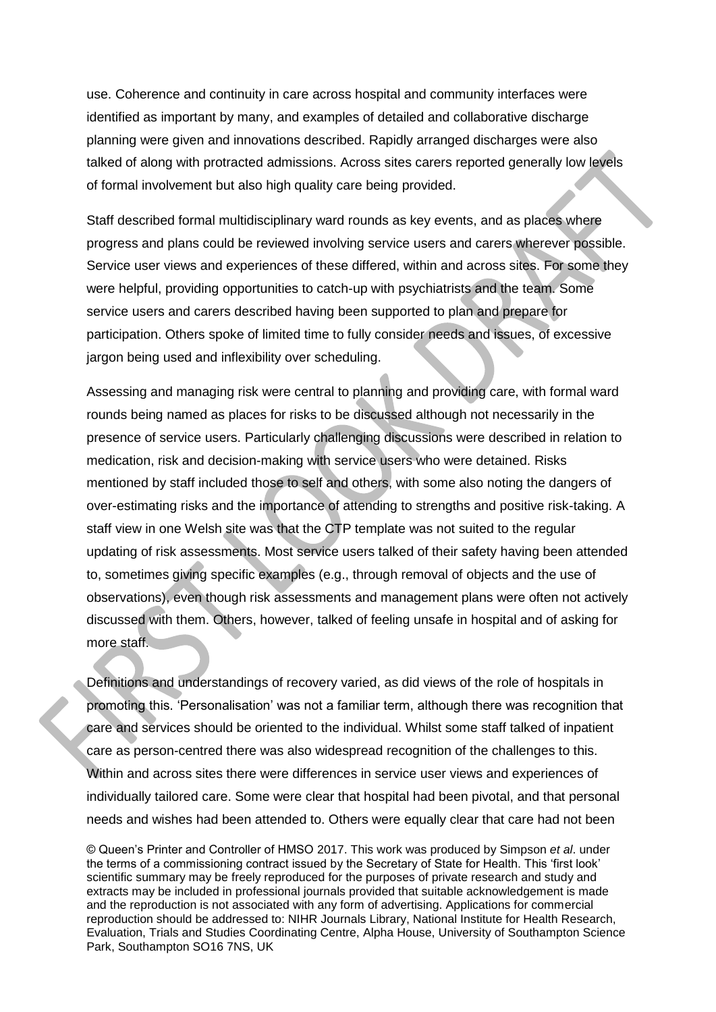use. Coherence and continuity in care across hospital and community interfaces were identified as important by many, and examples of detailed and collaborative discharge planning were given and innovations described. Rapidly arranged discharges were also talked of along with protracted admissions. Across sites carers reported generally low levels of formal involvement but also high quality care being provided.

Staff described formal multidisciplinary ward rounds as key events, and as places where progress and plans could be reviewed involving service users and carers wherever possible. Service user views and experiences of these differed, within and across sites. For some they were helpful, providing opportunities to catch-up with psychiatrists and the team. Some service users and carers described having been supported to plan and prepare for participation. Others spoke of limited time to fully consider needs and issues, of excessive jargon being used and inflexibility over scheduling.

Assessing and managing risk were central to planning and providing care, with formal ward rounds being named as places for risks to be discussed although not necessarily in the presence of service users. Particularly challenging discussions were described in relation to medication, risk and decision-making with service users who were detained. Risks mentioned by staff included those to self and others, with some also noting the dangers of over-estimating risks and the importance of attending to strengths and positive risk-taking. A staff view in one Welsh site was that the CTP template was not suited to the regular updating of risk assessments. Most service users talked of their safety having been attended to, sometimes giving specific examples (e.g., through removal of objects and the use of observations), even though risk assessments and management plans were often not actively discussed with them. Others, however, talked of feeling unsafe in hospital and of asking for more staff.

Definitions and understandings of recovery varied, as did views of the role of hospitals in promoting this. 'Personalisation' was not a familiar term, although there was recognition that care and services should be oriented to the individual. Whilst some staff talked of inpatient care as person-centred there was also widespread recognition of the challenges to this. Within and across sites there were differences in service user views and experiences of individually tailored care. Some were clear that hospital had been pivotal, and that personal needs and wishes had been attended to. Others were equally clear that care had not been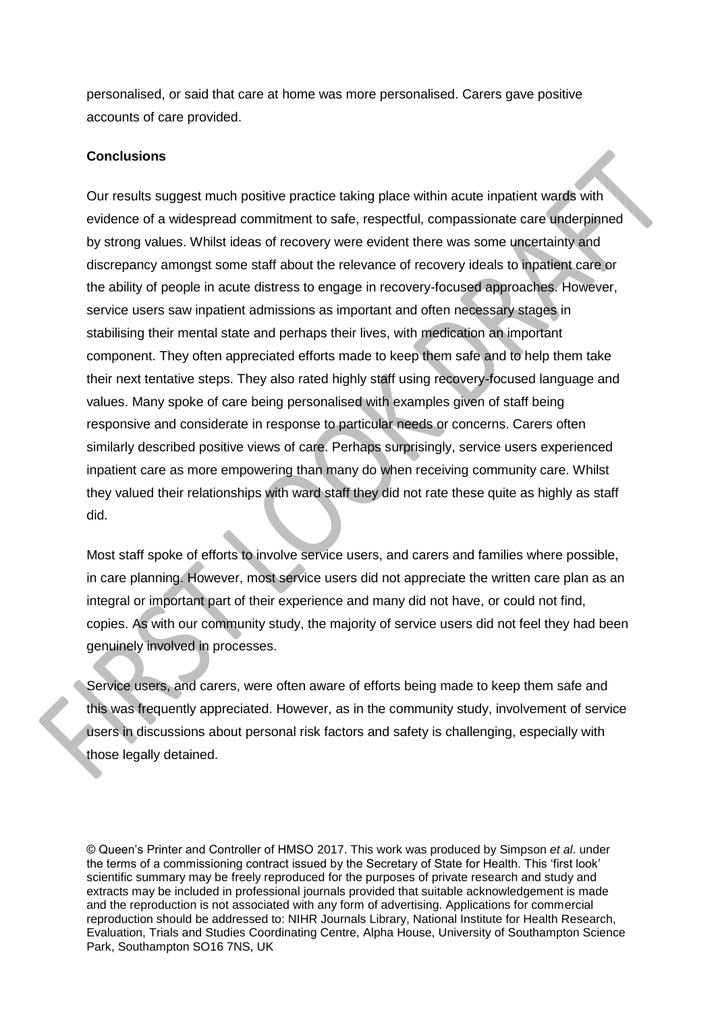personalised, or said that care at home was more personalised. Carers gave positive accounts of care provided.

#### **Conclusions**

Our results suggest much positive practice taking place within acute inpatient wards with evidence of a widespread commitment to safe, respectful, compassionate care underpinned by strong values. Whilst ideas of recovery were evident there was some uncertainty and discrepancy amongst some staff about the relevance of recovery ideals to inpatient care or the ability of people in acute distress to engage in recovery-focused approaches. However, service users saw inpatient admissions as important and often necessary stages in stabilising their mental state and perhaps their lives, with medication an important component. They often appreciated efforts made to keep them safe and to help them take their next tentative steps. They also rated highly staff using recovery-focused language and values. Many spoke of care being personalised with examples given of staff being responsive and considerate in response to particular needs or concerns. Carers often similarly described positive views of care. Perhaps surprisingly, service users experienced inpatient care as more empowering than many do when receiving community care. Whilst they valued their relationships with ward staff they did not rate these quite as highly as staff did.

Most staff spoke of efforts to involve service users, and carers and families where possible, in care planning. However, most service users did not appreciate the written care plan as an integral or important part of their experience and many did not have, or could not find, copies. As with our community study, the majority of service users did not feel they had been genuinely involved in processes.

Service users, and carers, were often aware of efforts being made to keep them safe and this was frequently appreciated. However, as in the community study, involvement of service users in discussions about personal risk factors and safety is challenging, especially with those legally detained.